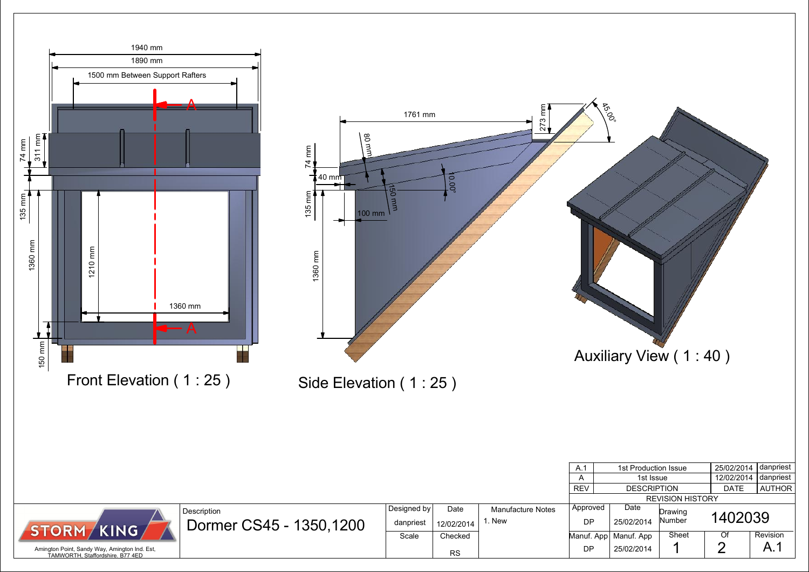